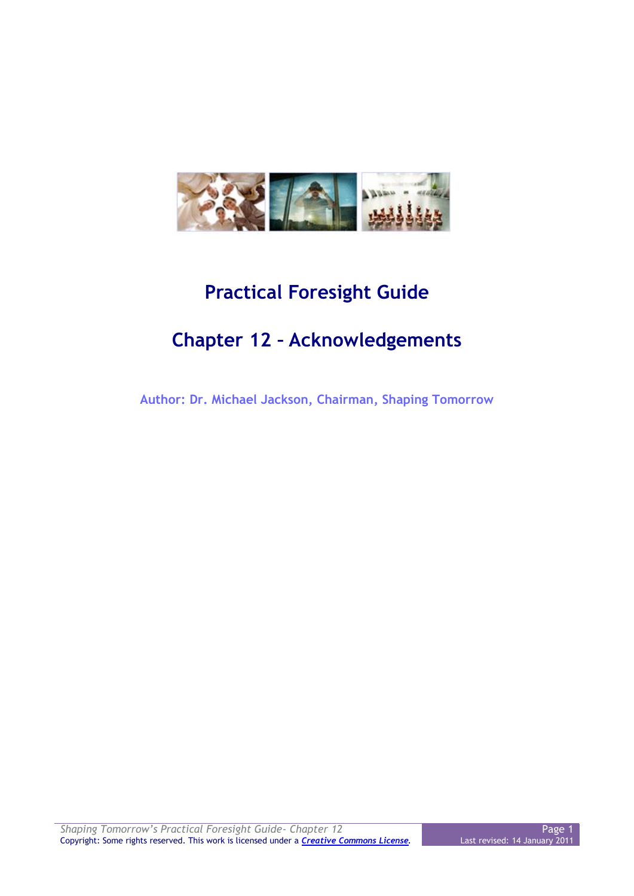

## **Practical Foresight Guide**

## **Chapter 12 – Acknowledgements**

**Author: Dr. Michael Jackson, Chairman, Shaping Tomorrow**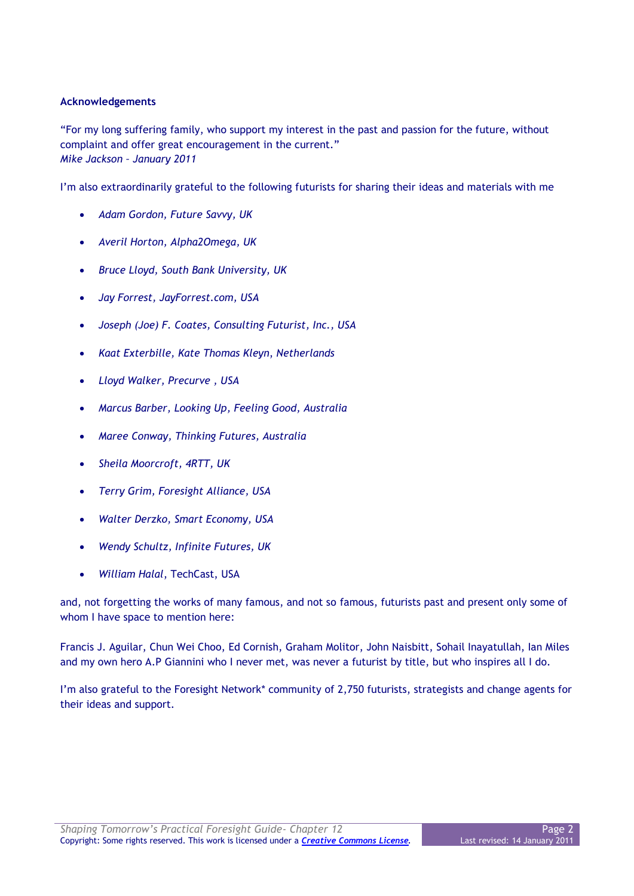## **Acknowledgements**

"For my long suffering family, who support my interest in the past and passion for the future, without complaint and offer great encouragement in the current." *Mike Jackson – January 2011*

I'm also extraordinarily grateful to the following futurists for sharing their ideas and materials with me

- *Adam Gordon, Future Savvy, UK*
- *Averil Horton, Alpha2Omega, UK*
- *Bruce Lloyd, South Bank University, UK*
- *Jay Forrest, JayForrest.com, USA*
- *Joseph (Joe) F. Coates, Consulting Futurist, Inc., USA*
- *Kaat Exterbille, Kate Thomas Kleyn*, *Netherlands*
- *Lloyd Walker, Precurve , USA*
- *Marcus Barber, Looking Up, Feeling Good, Australia*
- *Maree Conway, Thinking Futures, Australia*
- *Sheila Moorcroft, 4RTT, UK*
- *Terry Grim, Foresight Alliance, USA*
- *Walter Derzko, Smart Economy, USA*
- *Wendy Schultz, Infinite Futures, UK*
- *William Halal*, TechCast, USA

and, not forgetting the works of many famous, and not so famous, futurists past and present only some of whom I have space to mention here:

Francis J. Aguilar, Chun Wei Choo, Ed Cornish, Graham Molitor, John Naisbitt, Sohail Inayatullah, Ian Miles and my own hero A.P Giannini who I never met, was never a futurist by title, but who inspires all I do.

I'm also grateful to the Foresight Network\* community of 2,750 futurists, strategists and change agents for their ideas and support.